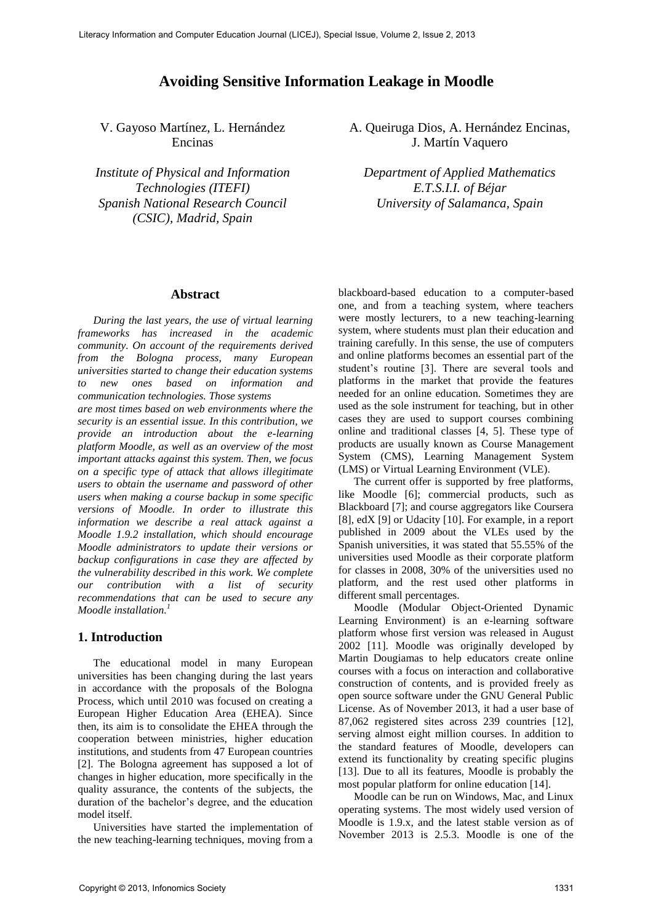# **Avoiding Sensitive Information Leakage in Moodle**

V. Gayoso Martínez, L. Hernández Encinas

*Institute of Physical and Information Technologies (ITEFI) Spanish National Research Council (CSIC), Madrid, Spain* 

#### **Abstract**

*During the last years, the use of virtual learning frameworks has increased in the academic community. On account of the requirements derived from the Bologna process, many European universities started to change their education systems to new ones based on information and communication technologies. Those systems are most times based on web environments where the security is an essential issue. In this contribution, we provide an introduction about the e-learning platform Moodle, as well as an overview of the most important attacks against this system. Then, we focus on a specific type of attack that allows illegitimate users to obtain the username and password of other users when making a course backup in some specific versions of Moodle. In order to illustrate this information we describe a real attack against a Moodle 1.9.2 installation, which should encourage Moodle administrators to update their versions or backup configurations in case they are affected by the vulnerability described in this work. We complete our contribution with a list of security recommendations that can be used to secure any Moodle installation. 1*

### **1. Introduction**

The educational model in many European universities has been changing during the last years in accordance with the proposals of the Bologna Process, which until 2010 was focused on creating a European Higher Education Area (EHEA). Since then, its aim is to consolidate the EHEA through the cooperation between ministries, higher education institutions, and students from 47 European countries [2]. The Bologna agreement has supposed a lot of changes in higher education, more specifically in the quality assurance, the contents of the subjects, the duration of the bachelor's degree, and the education model itself.

Universities have started the implementation of the new teaching-learning techniques, moving from a

A. Queiruga Dios, A. Hernández Encinas, J. Martín Vaquero

*Department of Applied Mathematics E.T.S.I.I. of Béjar University of Salamanca, Spain* 

blackboard-based education to a computer-based one, and from a teaching system, where teachers were mostly lecturers, to a new teaching-learning system, where students must plan their education and training carefully. In this sense, the use of computers and online platforms becomes an essential part of the student's routine [3]. There are several tools and platforms in the market that provide the features needed for an online education. Sometimes they are used as the sole instrument for teaching, but in other cases they are used to support courses combining online and traditional classes [4, 5]. These type of products are usually known as Course Management System (CMS), Learning Management System (LMS) or Virtual Learning Environment (VLE).

The current offer is supported by free platforms, like Moodle [6]; commercial products, such as Blackboard [7]; and course aggregators like Coursera [8], edX [9] or Udacity [10]. For example, in a report published in 2009 about the VLEs used by the Spanish universities, it was stated that 55.55% of the universities used Moodle as their corporate platform for classes in 2008, 30% of the universities used no platform, and the rest used other platforms in different small percentages.

Moodle (Modular Object-Oriented Dynamic Learning Environment) is an e-learning software platform whose first version was released in August 2002 [11]. Moodle was originally developed by Martin Dougiamas to help educators create online courses with a focus on interaction and collaborative construction of contents, and is provided freely as open source software under the GNU General Public License. As of November 2013, it had a user base of 87,062 registered sites across 239 countries [12], serving almost eight million courses. In addition to the standard features of Moodle, developers can extend its functionality by creating specific plugins [13]. Due to all its features, Moodle is probably the most popular platform for online education [14].

Moodle can be run on Windows, Mac, and Linux operating systems. The most widely used version of Moodle is 1.9.x, and the latest stable version as of November 2013 is 2.5.3. Moodle is one of the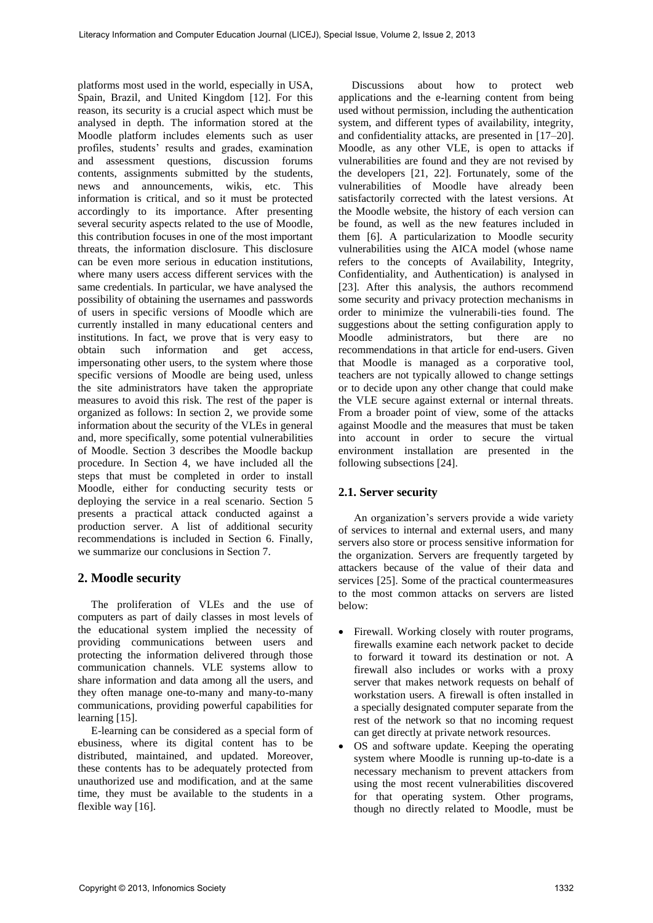platforms most used in the world, especially in USA, Spain, Brazil, and United Kingdom [12]. For this reason, its security is a crucial aspect which must be analysed in depth. The information stored at the Moodle platform includes elements such as user profiles, students' results and grades, examination and assessment questions, discussion forums contents, assignments submitted by the students, news and announcements, wikis, etc. This information is critical, and so it must be protected accordingly to its importance. After presenting several security aspects related to the use of Moodle, this contribution focuses in one of the most important threats, the information disclosure. This disclosure can be even more serious in education institutions, where many users access different services with the same credentials. In particular, we have analysed the possibility of obtaining the usernames and passwords of users in specific versions of Moodle which are currently installed in many educational centers and institutions. In fact, we prove that is very easy to obtain such information and get access, impersonating other users, to the system where those specific versions of Moodle are being used, unless the site administrators have taken the appropriate measures to avoid this risk. The rest of the paper is organized as follows: In section 2, we provide some information about the security of the VLEs in general and, more specifically, some potential vulnerabilities of Moodle. Section 3 describes the Moodle backup procedure. In Section 4, we have included all the steps that must be completed in order to install Moodle, either for conducting security tests or deploying the service in a real scenario. Section 5 presents a practical attack conducted against a production server. A list of additional security recommendations is included in Section 6. Finally, we summarize our conclusions in Section 7.

### **2. Moodle security**

The proliferation of VLEs and the use of computers as part of daily classes in most levels of the educational system implied the necessity of providing communications between users and protecting the information delivered through those communication channels. VLE systems allow to share information and data among all the users, and they often manage one-to-many and many-to-many communications, providing powerful capabilities for learning [15].

E-learning can be considered as a special form of ebusiness, where its digital content has to be distributed, maintained, and updated. Moreover, these contents has to be adequately protected from unauthorized use and modification, and at the same time, they must be available to the students in a flexible way [16].

Discussions about how to protect web applications and the e-learning content from being used without permission, including the authentication system, and different types of availability, integrity, and confidentiality attacks, are presented in [17–20]. Moodle, as any other VLE, is open to attacks if vulnerabilities are found and they are not revised by the developers [21, 22]. Fortunately, some of the vulnerabilities of Moodle have already been satisfactorily corrected with the latest versions. At the Moodle website, the history of each version can be found, as well as the new features included in them [6]. A particularization to Moodle security vulnerabilities using the AICA model (whose name refers to the concepts of Availability, Integrity, Confidentiality, and Authentication) is analysed in [23]. After this analysis, the authors recommend some security and privacy protection mechanisms in order to minimize the vulnerabili-ties found. The suggestions about the setting configuration apply to Moodle administrators, but there are no recommendations in that article for end-users. Given that Moodle is managed as a corporative tool, teachers are not typically allowed to change settings or to decide upon any other change that could make the VLE secure against external or internal threats. From a broader point of view, some of the attacks against Moodle and the measures that must be taken into account in order to secure the virtual environment installation are presented in the following subsections [24].

## **2.1. Server security**

An organization's servers provide a wide variety of services to internal and external users, and many servers also store or process sensitive information for the organization. Servers are frequently targeted by attackers because of the value of their data and services [25]. Some of the practical countermeasures to the most common attacks on servers are listed below:

- Firewall. Working closely with router programs, firewalls examine each network packet to decide to forward it toward its destination or not. A firewall also includes or works with a proxy server that makes network requests on behalf of workstation users. A firewall is often installed in a specially designated computer separate from the rest of the network so that no incoming request can get directly at private network resources.
- OS and software update. Keeping the operating system where Moodle is running up-to-date is a necessary mechanism to prevent attackers from using the most recent vulnerabilities discovered for that operating system. Other programs, though no directly related to Moodle, must be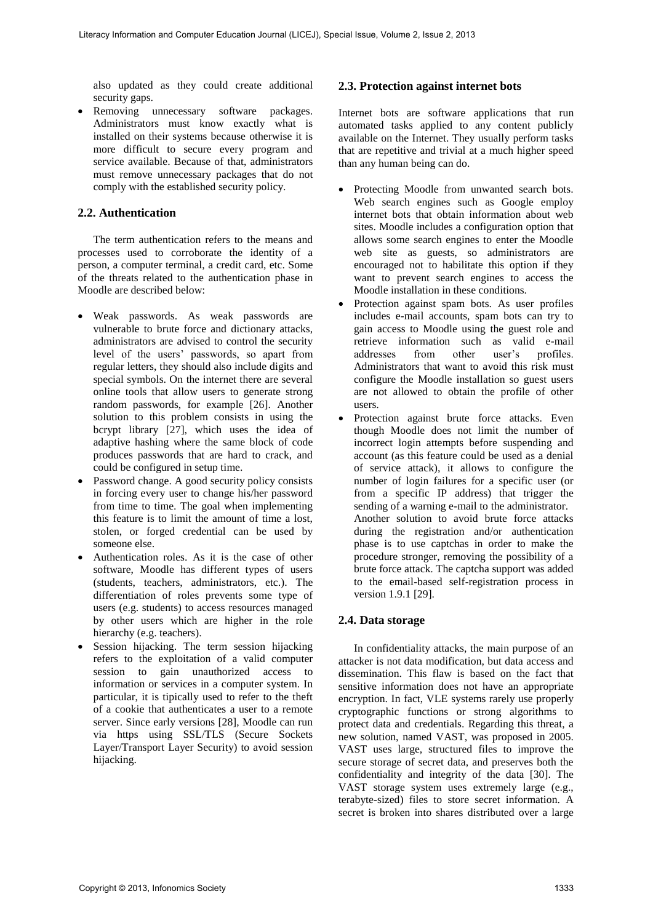also updated as they could create additional security gaps.

 Removing unnecessary software packages. Administrators must know exactly what is installed on their systems because otherwise it is more difficult to secure every program and service available. Because of that, administrators must remove unnecessary packages that do not comply with the established security policy.

### **2.2. Authentication**

The term authentication refers to the means and processes used to corroborate the identity of a person, a computer terminal, a credit card, etc. Some of the threats related to the authentication phase in Moodle are described below:

- Weak passwords. As weak passwords are vulnerable to brute force and dictionary attacks, administrators are advised to control the security level of the users' passwords, so apart from regular letters, they should also include digits and special symbols. On the internet there are several online tools that allow users to generate strong random passwords, for example [26]. Another solution to this problem consists in using the bcrypt library  $[27]$ , which uses the idea of adaptive hashing where the same block of code produces passwords that are hard to crack, and could be configured in setup time.
- Password change. A good security policy consists in forcing every user to change his/her password from time to time. The goal when implementing this feature is to limit the amount of time a lost, stolen, or forged credential can be used by someone else.
- Authentication roles. As it is the case of other software, Moodle has different types of users (students, teachers, administrators, etc.). The differentiation of roles prevents some type of users (e.g. students) to access resources managed by other users which are higher in the role hierarchy (e.g. teachers).
- Session hijacking. The term session hijacking refers to the exploitation of a valid computer session to gain unauthorized access to information or services in a computer system. In particular, it is tipically used to refer to the theft of a cookie that authenticates a user to a remote server. Since early versions [28], Moodle can run via https using SSL/TLS (Secure Sockets Layer/Transport Layer Security) to avoid session hijacking.

### **2.3. Protection against internet bots**

Internet bots are software applications that run automated tasks applied to any content publicly available on the Internet. They usually perform tasks that are repetitive and trivial at a much higher speed than any human being can do.

- Protecting Moodle from unwanted search bots. Web search engines such as Google employ internet bots that obtain information about web sites. Moodle includes a configuration option that allows some search engines to enter the Moodle web site as guests, so administrators are encouraged not to habilitate this option if they want to prevent search engines to access the Moodle installation in these conditions.
- Protection against spam bots. As user profiles includes e-mail accounts, spam bots can try to gain access to Moodle using the guest role and retrieve information such as valid e-mail<br>addresses from other user's profiles. profiles. Administrators that want to avoid this risk must configure the Moodle installation so guest users are not allowed to obtain the profile of other users.
- Protection against brute force attacks. Even though Moodle does not limit the number of incorrect login attempts before suspending and account (as this feature could be used as a denial of service attack), it allows to configure the number of login failures for a specific user (or from a specific IP address) that trigger the sending of a warning e-mail to the administrator. Another solution to avoid brute force attacks during the registration and/or authentication phase is to use captchas in order to make the procedure stronger, removing the possibility of a brute force attack. The captcha support was added to the email-based self-registration process in version 1.9.1 [29].

### **2.4. Data storage**

In confidentiality attacks, the main purpose of an attacker is not data modification, but data access and dissemination. This flaw is based on the fact that sensitive information does not have an appropriate encryption. In fact, VLE systems rarely use properly cryptographic functions or strong algorithms to protect data and credentials. Regarding this threat, a new solution, named VAST, was proposed in 2005. VAST uses large, structured files to improve the secure storage of secret data, and preserves both the confidentiality and integrity of the data [30]. The VAST storage system uses extremely large (e.g., terabyte-sized) files to store secret information. A secret is broken into shares distributed over a large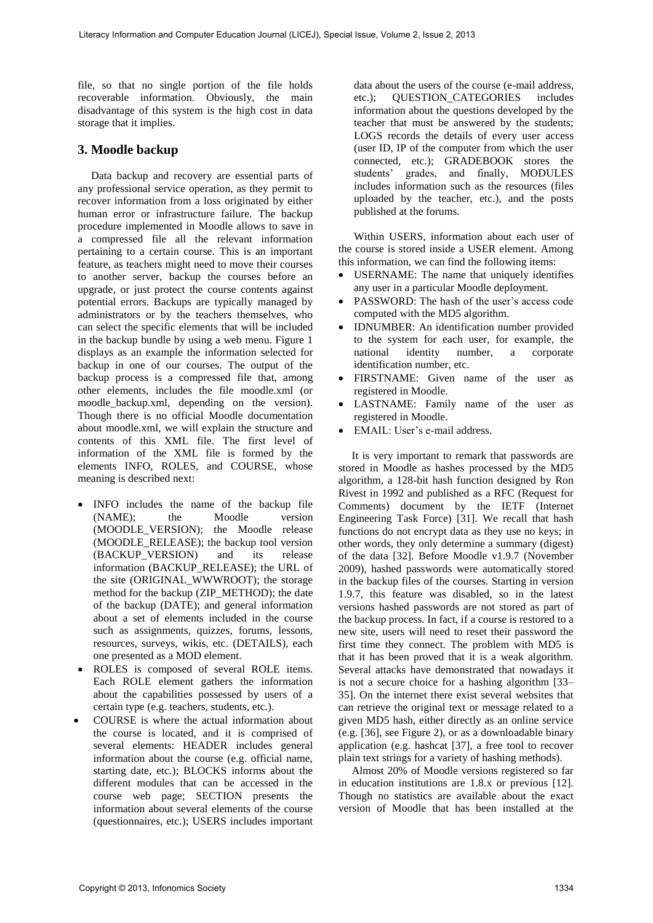file, so that no single portion of the file holds recoverable information. Obviously, the main disadvantage of this system is the high cost in data storage that it implies.

# **3. Moodle backup**

Data backup and recovery are essential parts of any professional service operation, as they permit to recover information from a loss originated by either human error or infrastructure failure. The backup procedure implemented in Moodle allows to save in a compressed file all the relevant information pertaining to a certain course. This is an important feature, as teachers might need to move their courses to another server, backup the courses before an upgrade, or just protect the course contents against potential errors. Backups are typically managed by administrators or by the teachers themselves, who can select the specific elements that will be included in the backup bundle by using a web menu. Figure 1 displays as an example the information selected for backup in one of our courses. The output of the backup process is a compressed file that, among other elements, includes the file moodle.xml (or moodle backup.xml, depending on the version). Though there is no official Moodle documentation about moodle.xml, we will explain the structure and contents of this XML file. The first level of information of the XML file is formed by the elements INFO, ROLES, and COURSE, whose meaning is described next:

- INFO includes the name of the backup file (NAME); the Moodle version (MOODLE VERSION); the Moodle release (MOODLE\_RELEASE); the backup tool version (BACKUP\_VERSION) and its release information (BACKUP\_RELEASE); the URL of the site (ORIGINAL\_WWWROOT); the storage method for the backup (ZIP\_METHOD); the date of the backup (DATE); and general information about a set of elements included in the course such as assignments, quizzes, forums, lessons, resources, surveys, wikis, etc. (DETAILS), each one presented as a MOD element.
- ROLES is composed of several ROLE items. Each ROLE element gathers the information about the capabilities possessed by users of a certain type (e.g. teachers, students, etc.).
- COURSE is where the actual information about the course is located, and it is comprised of several elements: HEADER includes general information about the course (e.g. official name, starting date, etc.); BLOCKS informs about the different modules that can be accessed in the course web page; SECTION presents the information about several elements of the course (questionnaires, etc.); USERS includes important

data about the users of the course (e-mail address, etc.); QUESTION\_CATEGORIES includes information about the questions developed by the teacher that must be answered by the students; LOGS records the details of every user access (user ID, IP of the computer from which the user connected, etc.); GRADEBOOK stores the students' grades, and finally, MODULES includes information such as the resources (files uploaded by the teacher, etc.), and the posts published at the forums.

Within USERS, information about each user of the course is stored inside a USER element. Among this information, we can find the following items:

- USERNAME: The name that uniquely identifies any user in a particular Moodle deployment.
- PASSWORD: The hash of the user's access code computed with the MD5 algorithm.
- IDNUMBER: An identification number provided to the system for each user, for example, the national identity number, a corporate national identity number, a corporate identification number, etc.
- FIRSTNAME: Given name of the user as registered in Moodle.
- LASTNAME: Family name of the user as registered in Moodle.
- EMAIL: User's e-mail address.

It is very important to remark that passwords are stored in Moodle as hashes processed by the MD5 algorithm, a 128-bit hash function designed by Ron Rivest in 1992 and published as a RFC (Request for Comments) document by the IETF (Internet Engineering Task Force) [31]. We recall that hash functions do not encrypt data as they use no keys; in other words, they only determine a summary (digest) of the data [32]. Before Moodle v1.9.7 (November 2009), hashed passwords were automatically stored in the backup files of the courses. Starting in version 1.9.7, this feature was disabled, so in the latest versions hashed passwords are not stored as part of the backup process. In fact, if a course is restored to a new site, users will need to reset their password the first time they connect. The problem with MD5 is that it has been proved that it is a weak algorithm. Several attacks have demonstrated that nowadays it is not a secure choice for a hashing algorithm [33– 35]. On the internet there exist several websites that can retrieve the original text or message related to a given MD5 hash, either directly as an online service (e.g. [36], see Figure 2), or as a downloadable binary application (e.g. hashcat [37], a free tool to recover plain text strings for a variety of hashing methods).

Almost 20% of Moodle versions registered so far in education institutions are 1.8.x or previous [12]. Though no statistics are available about the exact version of Moodle that has been installed at the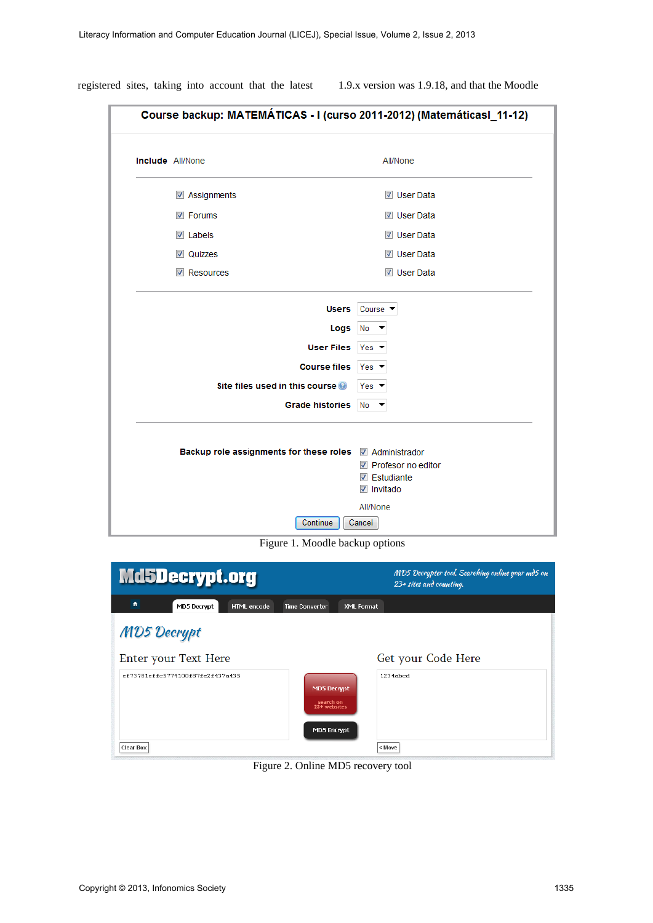| <b>Include</b> All/None                                                                           | All/None                                                                                |
|---------------------------------------------------------------------------------------------------|-----------------------------------------------------------------------------------------|
| Assignments                                                                                       | <b>V</b> User Data                                                                      |
| $\triangledown$ Forums                                                                            | <b>V</b> User Data                                                                      |
| $\triangledown$ Labels                                                                            | <b>V</b> User Data                                                                      |
| <b>V</b> Quizzes                                                                                  | <b>V</b> User Data                                                                      |
| Resources                                                                                         | <b>V</b> User Data                                                                      |
| <b>User Files</b><br>Course files Yes<br>Site files used in this course<br><b>Grade histories</b> | $Yes$ $\blacktriangledown$<br>Yes $\blacktriangledown$<br>$No \rightarrow$              |
| Backup role assignments for these roles 7 Administrador                                           | $\triangledown$ Profesor no editor<br>$\triangledown$ Estudiante<br>$\sqrt{ }$ Invitado |

registered sites, taking into account that the latest 1.9.x version was 1.9.18, and that the Moodle

Figure 1. Moodle backup options

| Md5Decrypt.org                   |                                                                | MD5 Decrypter tool. Searching online your md5 on<br>$23 +$ sites and counting. |
|----------------------------------|----------------------------------------------------------------|--------------------------------------------------------------------------------|
| ٠<br>MD5 Decrypt<br>HTML encode  | <b>Time Converter</b><br><b>XML Format</b>                     |                                                                                |
| <b>MD5 Decrypt</b>               |                                                                |                                                                                |
| Enter your Text Here             |                                                                | Get your Code Here                                                             |
| ef73781effc5774100f87fe2f437a435 | <b>MD5 Decrypt</b><br>search on<br>23+ websites<br>MD5 Encrypt | 1234ahcd                                                                       |
| <b>Clear Box</b>                 |                                                                | < Move                                                                         |

Figure 2. Online MD5 recovery tool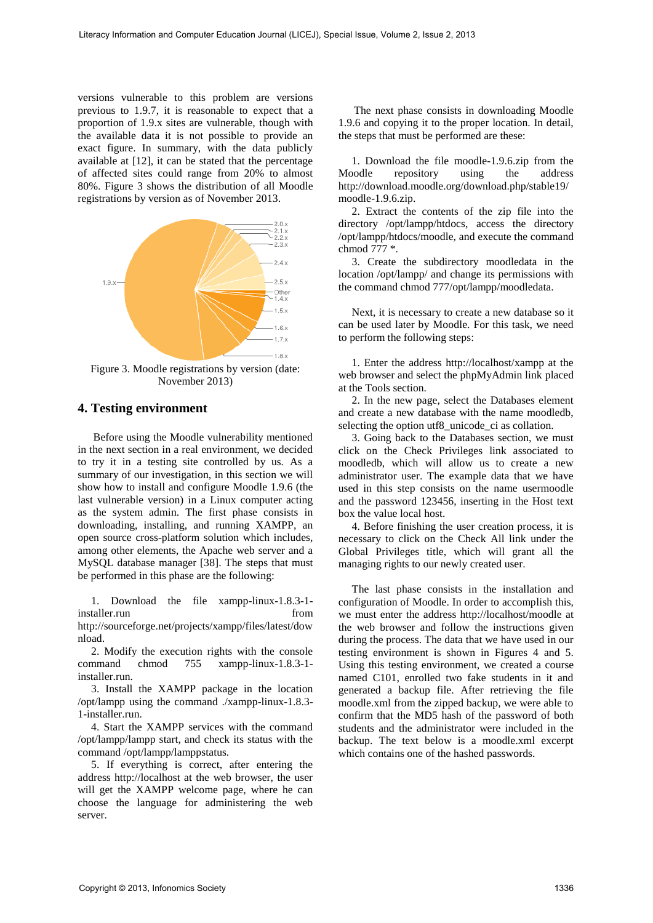versions vulnerable to this problem are versions previous to 1.9.7, it is reasonable to expect that a proportion of 1.9.x sites are vulnerable, though with the available data it is not possible to provide an exact figure. In summary, with the data publicly available at [12], it can be stated that the percentage of affected sites could range from 20% to almost 80%. Figure 3 shows the distribution of all Moodle registrations by version as of November 2013.



Figure 3. Moodle registrations by version (date: November 2013)

### **4. Testing environment**

Before using the Moodle vulnerability mentioned in the next section in a real environment, we decided to try it in a testing site controlled by us. As a summary of our investigation, in this section we will show how to install and configure Moodle 1.9.6 (the last vulnerable version) in a Linux computer acting as the system admin. The first phase consists in downloading, installing, and running XAMPP, an open source cross-platform solution which includes, among other elements, the Apache web server and a MySQL database manager [38]. The steps that must be performed in this phase are the following:

1. Download the file xampp-linux-1.8.3-1 installer.run from from http://sourceforge.net/projects/xampp/files/latest/dow nload.

2. Modify the execution rights with the console command chmod 755 xampp-linux-1.8.3-1 installer.run.

3. Install the XAMPP package in the location /opt/lampp using the command ./xampp-linux-1.8.3- 1-installer.run.

4. Start the XAMPP services with the command /opt/lampp/lampp start, and check its status with the command /opt/lampp/lamppstatus.

5. If everything is correct, after entering the address http://localhost at the web browser, the user will get the XAMPP welcome page, where he can choose the language for administering the web server.

The next phase consists in downloading Moodle 1.9.6 and copying it to the proper location. In detail, the steps that must be performed are these:

1. Download the file moodle-1.9.6.zip from the Moodle repository using the address repository using the http://download.moodle.org/download.php/stable19/ moodle-1.9.6.zip.

2. Extract the contents of the zip file into the directory /opt/lampp/htdocs, access the directory /opt/lampp/htdocs/moodle, and execute the command chmod 777 \*.

3. Create the subdirectory moodledata in the location /opt/lampp/ and change its permissions with the command chmod 777/opt/lampp/moodledata.

Next, it is necessary to create a new database so it can be used later by Moodle. For this task, we need to perform the following steps:

1. Enter the address http://localhost/xampp at the web browser and select the phpMyAdmin link placed at the Tools section.

2. In the new page, select the Databases element and create a new database with the name moodledb, selecting the option utf8\_unicode\_ci as collation.

3. Going back to the Databases section, we must click on the Check Privileges link associated to moodledb, which will allow us to create a new administrator user. The example data that we have used in this step consists on the name usermoodle and the password 123456, inserting in the Host text box the value local host.

4. Before finishing the user creation process, it is necessary to click on the Check All link under the Global Privileges title, which will grant all the managing rights to our newly created user.

The last phase consists in the installation and configuration of Moodle. In order to accomplish this, we must enter the address http://localhost/moodle at the web browser and follow the instructions given during the process. The data that we have used in our testing environment is shown in Figures 4 and 5. Using this testing environment, we created a course named C101, enrolled two fake students in it and generated a backup file. After retrieving the file moodle.xml from the zipped backup, we were able to confirm that the MD5 hash of the password of both students and the administrator were included in the backup. The text below is a moodle.xml excerpt which contains one of the hashed passwords.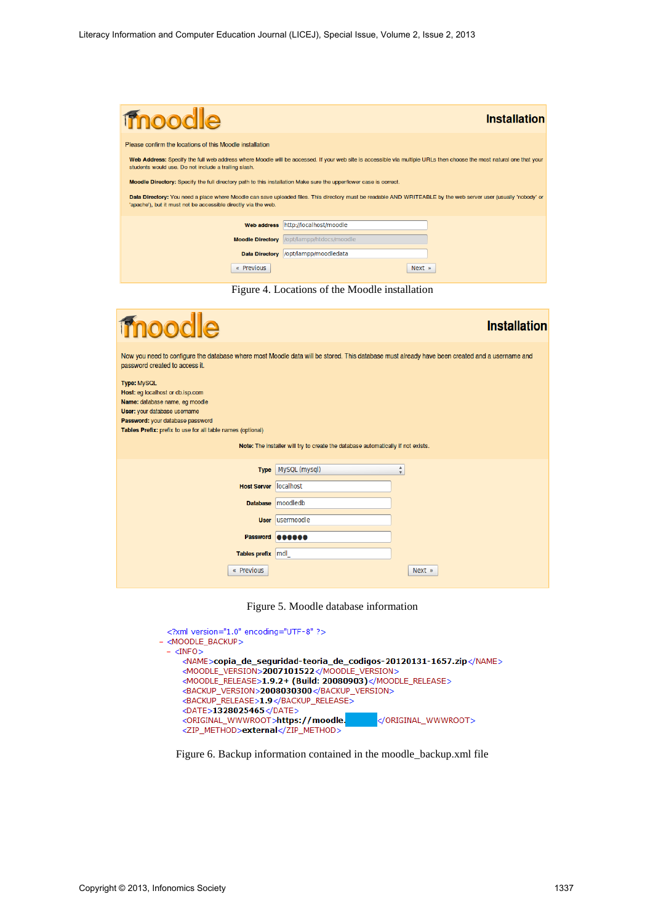| moodle                                                                                                                                                                                                                             | <b>Installation</b>      |  |
|------------------------------------------------------------------------------------------------------------------------------------------------------------------------------------------------------------------------------------|--------------------------|--|
| Please confirm the locations of this Moodle installation                                                                                                                                                                           |                          |  |
| Web Address: Specify the full web address where Moodle will be accessed. If your web site is accessible via multiple URLs then choose the most natural one that your<br>students would use. Do not include a trailing slash.       |                          |  |
| Moodle Directory: Specify the full directory path to this installation Make sure the upper/lower case is correct.                                                                                                                  |                          |  |
| Data Directory: You need a place where Moodle can save uploaded files. This directory must be readable AND WRITEABLE by the web server user (usually 'nobody' or<br>'apache'), but it must not be accessible directly via the web. |                          |  |
| <b>Web address</b>                                                                                                                                                                                                                 | http://localhost/moodle  |  |
| <b>Moodle Directory</b>                                                                                                                                                                                                            | /opt/lampp/htdocs/moodle |  |
| <b>Data Directory</b>                                                                                                                                                                                                              | /opt/lampp/moodledata    |  |
| « Previous                                                                                                                                                                                                                         | $Next$ »                 |  |

Figure 4. Locations of the Moodle installation

| moodle                                                                                                                                                                                                                      |                                                                                  | <b>Installation</b>          |
|-----------------------------------------------------------------------------------------------------------------------------------------------------------------------------------------------------------------------------|----------------------------------------------------------------------------------|------------------------------|
| Now you need to configure the database where most Moodle data will be stored. This database must already have been created and a username and<br>password created to access it.                                             |                                                                                  |                              |
| <b>Type: MySQL</b><br>Host: eg localhost or db.isp.com<br>Name: database name, eg moodle<br>User: your database username<br>Password: your database password<br>Tables Prefix: prefix to use for all table names (optional) |                                                                                  |                              |
|                                                                                                                                                                                                                             | Note: The installer will try to create the database automatically if not exists. |                              |
| <b>Type</b>                                                                                                                                                                                                                 | MySQL (mysql)                                                                    | 4<br>$\overline{\mathbf{v}}$ |
| <b>Host Server</b>                                                                                                                                                                                                          | localhost                                                                        |                              |
| <b>Database</b>                                                                                                                                                                                                             | moodledb                                                                         |                              |
| <b>User</b>                                                                                                                                                                                                                 | lusermoodle                                                                      |                              |
| <b>Password</b>                                                                                                                                                                                                             | 000000                                                                           |                              |
| Tables prefix mdl                                                                                                                                                                                                           |                                                                                  |                              |
| « Previous                                                                                                                                                                                                                  |                                                                                  | Next »                       |

Figure 5. Moodle database information

| xml version="1.0" encoding="UTF-8" ?                                |
|---------------------------------------------------------------------|
| - <moodle backup=""></moodle>                                       |
| $ \langle$ INFO $>$                                                 |
| <name>copia de sequridad-teoria de codigos-20120131-1657.zip</name> |
| <moodle_version>2007101522</moodle_version>                         |
| <moodle_release>1.9.2+ (Build: 20080903)</moodle_release>           |
| <backup version="">2008030300</backup>                              |
| <backup release="">1.9</backup>                                     |
| <date>1328025465</date>                                             |
| <original wwwroot="">https://moodle.<br/></original>                |
| <zip method="">external</zip>                                       |

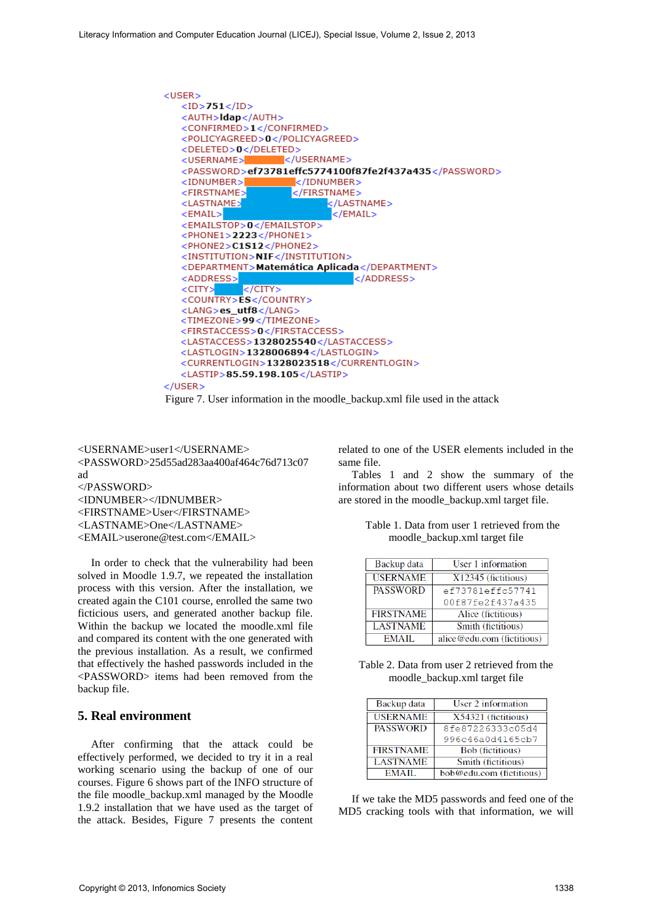

Figure 7. User information in the moodle\_backup.xml file used in the attack

<USERNAME>user1</USERNAME> <PASSWORD>25d55ad283aa400af464c76d713c07 ad </PASSWORD> <IDNUMBER></IDNUMBER> <FIRSTNAME>User</FIRSTNAME> <LASTNAME>One</LASTNAME> <EMAIL>userone@test.com</EMAIL>

In order to check that the vulnerability had been solved in Moodle 1.9.7, we repeated the installation process with this version. After the installation, we created again the C101 course, enrolled the same two ficticious users, and generated another backup file. Within the backup we located the moodle.xml file and compared its content with the one generated with the previous installation. As a result, we confirmed that effectively the hashed passwords included in the <PASSWORD> items had been removed from the backup file.

## **5. Real environment**

After confirming that the attack could be effectively performed, we decided to try it in a real working scenario using the backup of one of our courses. Figure 6 shows part of the INFO structure of the file moodle\_backup.xml managed by the Moodle 1.9.2 installation that we have used as the target of the attack. Besides, Figure 7 presents the content related to one of the USER elements included in the same file.

Tables 1 and 2 show the summary of the information about two different users whose details are stored in the moodle\_backup.xml target file.

|                               | Table 1. Data from user 1 retrieved from the |  |
|-------------------------------|----------------------------------------------|--|
| moodle_backup.xml target file |                                              |  |

| Backup data      | User 1 information          |
|------------------|-----------------------------|
| <b>USERNAME</b>  | X12345 (fictitious)         |
| <b>PASSWORD</b>  | ef73781effc57741            |
|                  | 00f87fe2f437a435            |
| <b>FIRSTNAME</b> | Alice (fictitious)          |
| <b>LASTNAME</b>  | Smith (fictitious)          |
| EMAIL.           | alice @edu.com (fictitious) |

Table 2. Data from user 2 retrieved from the moodle\_backup.xml target file

| Backup data      | User 2 information       |
|------------------|--------------------------|
| <b>USERNAME</b>  | $X54321$ (fictitious)    |
| <b>PASSWORD</b>  | 8fe87226333c05d4         |
|                  | 996c46a0d4165cb7         |
| <b>FIRSTNAME</b> | <b>Bob</b> (fictitious)  |
| <b>LASTNAME</b>  | Smith (fictitious)       |
| EMAIL.           | bob@edu.com (fictitious) |

If we take the MD5 passwords and feed one of the MD5 cracking tools with that information, we will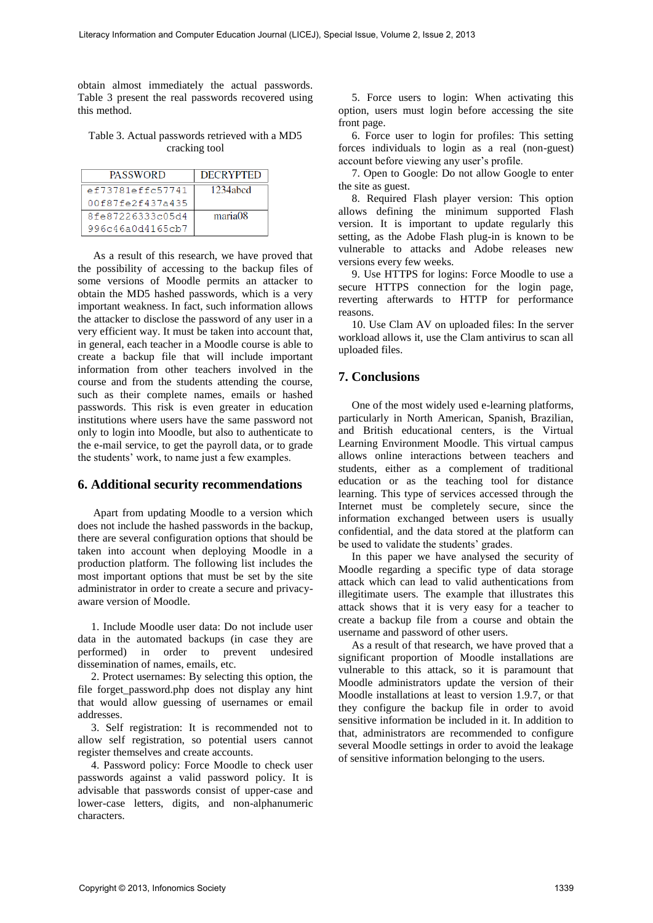obtain almost immediately the actual passwords. Table 3 present the real passwords recovered using this method.

#### Table 3. Actual passwords retrieved with a MD5 cracking tool

| <b>PASSWORD</b>  | <b>DECRYPTED</b> |
|------------------|------------------|
| ef73781effc57741 | $1234$ abed      |
| 00f87fe2f437a435 |                  |
| 8fe87226333c05d4 | maria08          |
| 996c46a0d4165cb7 |                  |

As a result of this research, we have proved that the possibility of accessing to the backup files of some versions of Moodle permits an attacker to obtain the MD5 hashed passwords, which is a very important weakness. In fact, such information allows the attacker to disclose the password of any user in a very efficient way. It must be taken into account that, in general, each teacher in a Moodle course is able to create a backup file that will include important information from other teachers involved in the course and from the students attending the course, such as their complete names, emails or hashed passwords. This risk is even greater in education institutions where users have the same password not only to login into Moodle, but also to authenticate to the e-mail service, to get the payroll data, or to grade the students' work, to name just a few examples.

#### **6. Additional security recommendations**

Apart from updating Moodle to a version which does not include the hashed passwords in the backup, there are several configuration options that should be taken into account when deploying Moodle in a production platform. The following list includes the most important options that must be set by the site administrator in order to create a secure and privacyaware version of Moodle.

1. Include Moodle user data: Do not include user data in the automated backups (in case they are performed) in order to prevent undesired dissemination of names, emails, etc.

2. Protect usernames: By selecting this option, the file forget\_password.php does not display any hint that would allow guessing of usernames or email addresses.

3. Self registration: It is recommended not to allow self registration, so potential users cannot register themselves and create accounts.

4. Password policy: Force Moodle to check user passwords against a valid password policy. It is advisable that passwords consist of upper-case and lower-case letters, digits, and non-alphanumeric characters.

5. Force users to login: When activating this option, users must login before accessing the site front page.

6. Force user to login for profiles: This setting forces individuals to login as a real (non-guest) account before viewing any user's profile.

7. Open to Google: Do not allow Google to enter the site as guest.

8. Required Flash player version: This option allows defining the minimum supported Flash version. It is important to update regularly this setting, as the Adobe Flash plug-in is known to be vulnerable to attacks and Adobe releases new versions every few weeks.

9. Use HTTPS for logins: Force Moodle to use a secure HTTPS connection for the login page, reverting afterwards to HTTP for performance reasons.

10. Use Clam AV on uploaded files: In the server workload allows it, use the Clam antivirus to scan all uploaded files.

# **7. Conclusions**

One of the most widely used e-learning platforms, particularly in North American, Spanish, Brazilian, and British educational centers, is the Virtual Learning Environment Moodle. This virtual campus allows online interactions between teachers and students, either as a complement of traditional education or as the teaching tool for distance learning. This type of services accessed through the Internet must be completely secure, since the information exchanged between users is usually confidential, and the data stored at the platform can be used to validate the students' grades.

In this paper we have analysed the security of Moodle regarding a specific type of data storage attack which can lead to valid authentications from illegitimate users. The example that illustrates this attack shows that it is very easy for a teacher to create a backup file from a course and obtain the username and password of other users.

As a result of that research, we have proved that a significant proportion of Moodle installations are vulnerable to this attack, so it is paramount that Moodle administrators update the version of their Moodle installations at least to version 1.9.7, or that they configure the backup file in order to avoid sensitive information be included in it. In addition to that, administrators are recommended to configure several Moodle settings in order to avoid the leakage of sensitive information belonging to the users.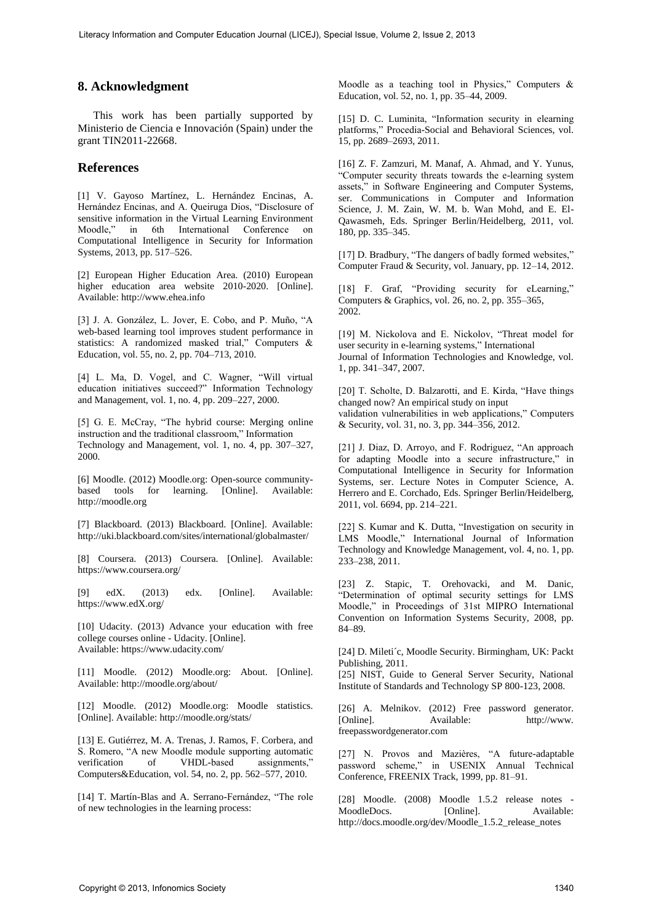### **8. Acknowledgment**

This work has been partially supported by Ministerio de Ciencia e Innovación (Spain) under the grant TIN2011-22668.

#### **References**

[1] V. Gayoso Martínez, L. Hernández Encinas, A. Hernández Encinas, and A. Queiruga Dios, "Disclosure of sensitive information in the Virtual Learning Environment<br>Moodle," in 6th International Conference on in 6th International Conference on Computational Intelligence in Security for Information Systems, 2013, pp. 517–526.

[2] European Higher Education Area. (2010) European higher education area website 2010-2020. [Online]. Available: http://www.ehea.info

[3] J. A. González, L. Jover, E. Cobo, and P. Muño, "A web-based learning tool improves student performance in statistics: A randomized masked trial," Computers & Education, vol. 55, no. 2, pp. 704–713, 2010.

[4] L. Ma, D. Vogel, and C. Wagner, "Will virtual education initiatives succeed?" Information Technology and Management, vol. 1, no. 4, pp. 209–227, 2000.

[5] G. E. McCray, "The hybrid course: Merging online instruction and the traditional classroom," Information Technology and Management, vol. 1, no. 4, pp. 307–327, 2000.

[6] Moodle. (2012) Moodle.org: Open-source communitybased tools for learning. [Online]. Available: http://moodle.org

[7] Blackboard. (2013) Blackboard. [Online]. Available: http://uki.blackboard.com/sites/international/globalmaster/

[8] Coursera. (2013) Coursera. [Online]. Available: https://www.coursera.org/

[9] edX. (2013) edx. [Online]. Available: https://www.edX.org/

[10] Udacity. (2013) Advance your education with free college courses online - Udacity. [Online]. Available: https://www.udacity.com/

[11] Moodle. (2012) Moodle.org: About. [Online]. Available: http://moodle.org/about/

[12] Moodle. (2012) Moodle.org: Moodle statistics. [Online]. Available: http://moodle.org/stats/

[13] E. Gutiérrez, M. A. Trenas, J. Ramos, F. Corbera, and S. Romero, "A new Moodle module supporting automatic verification of VHDL-based assignments," Computers&Education, vol. 54, no. 2, pp. 562–577, 2010.

[14] T. Martín-Blas and A. Serrano-Fernández, "The role of new technologies in the learning process:

Moodle as a teaching tool in Physics," Computers & Education, vol. 52, no. 1, pp. 35–44, 2009.

[15] D. C. Luminita, "Information security in elearning platforms," Procedia-Social and Behavioral Sciences, vol. 15, pp. 2689–2693, 2011.

[16] Z. F. Zamzuri, M. Manaf, A. Ahmad, and Y. Yunus, "Computer security threats towards the e-learning system assets," in Software Engineering and Computer Systems, ser. Communications in Computer and Information Science, J. M. Zain, W. M. b. Wan Mohd, and E. El-Qawasmeh, Eds. Springer Berlin/Heidelberg, 2011, vol. 180, pp. 335–345.

[17] D. Bradbury, "The dangers of badly formed websites," Computer Fraud & Security, vol. January, pp. 12–14, 2012.

[18] F. Graf, "Providing security for eLearning," Computers & Graphics, vol. 26, no. 2, pp. 355–365, 2002.

[19] M. Nickolova and E. Nickolov, "Threat model for user security in e-learning systems," International Journal of Information Technologies and Knowledge, vol. 1, pp. 341–347, 2007.

[20] T. Scholte, D. Balzarotti, and E. Kirda, "Have things changed now? An empirical study on input validation vulnerabilities in web applications," Computers & Security, vol. 31, no. 3, pp. 344–356, 2012.

[21] J. Diaz, D. Arroyo, and F. Rodriguez, "An approach for adapting Moodle into a secure infrastructure," in Computational Intelligence in Security for Information Systems, ser. Lecture Notes in Computer Science, A. Herrero and E. Corchado, Eds. Springer Berlin/Heidelberg, 2011, vol. 6694, pp. 214–221.

[22] S. Kumar and K. Dutta, "Investigation on security in LMS Moodle," International Journal of Information Technology and Knowledge Management, vol. 4, no. 1, pp. 233–238, 2011.

[23] Z. Stapic, T. Orehovacki, and M. Danic, "Determination of optimal security settings for LMS Moodle," in Proceedings of 31st MIPRO International Convention on Information Systems Security, 2008, pp. 84–89.

[24] D. Mileti´c, Moodle Security. Birmingham, UK: Packt Publishing, 2011.

[25] NIST, Guide to General Server Security, National Institute of Standards and Technology SP 800-123, 2008.

[26] A. Melnikov. (2012) Free password generator. [Online]. Available: http://www. freepasswordgenerator.com

[27] N. Provos and Mazières, "A future-adaptable password scheme," in USENIX Annual Technical Conference, FREENIX Track, 1999, pp. 81–91.

[28] Moodle.  $(2008)$  Moodle  $1.5.2$  release notes MoodleDocs. [Online]. Available: http://docs.moodle.org/dev/Moodle\_1.5.2\_release\_notes